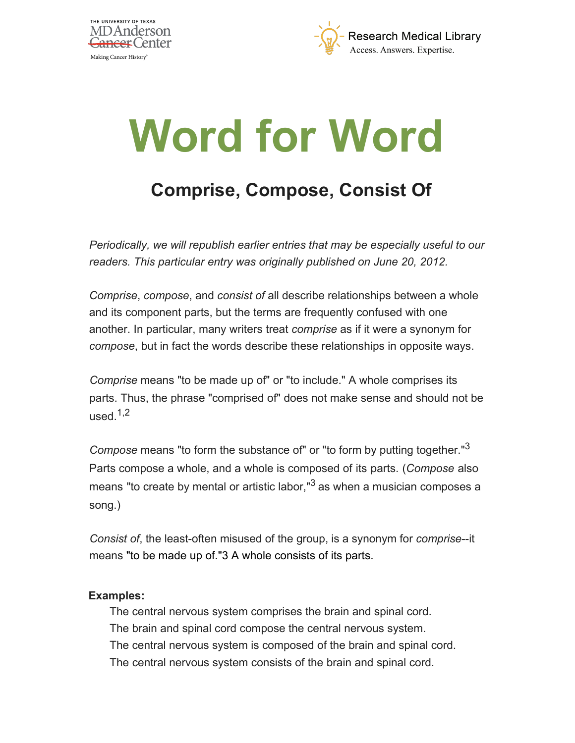



## **Word for Word**

## **Comprise, Compose, Consist Of**

*Periodically, we will republish earlier entries that may be especially useful to our readers. This particular entry was originally published on June 20, 2012.*

*Comprise*, *compose*, and *consist of* all describe relationships between a whole and its component parts, but the terms are frequently confused with one another. In particular, many writers treat *comprise* as if it were a synonym for *compose*, but in fact the words describe these relationships in opposite ways.

*Comprise* means "to be made up of" or "to include." A whole comprises its parts. Thus, the phrase "comprised of" does not make sense and should not be used. $1,2$ 

*Compose* means "to form the substance of" or "to form by putting together."<sup>3</sup> Parts compose a whole, and a whole is composed of its parts. (*Compose* also means "to create by mental or artistic labor," $3$  as when a musician composes a song.)

*Consist of*, the least-often misused of the group, is a synonym for *comprise*--it means "to be made up of."3 A whole consists of its parts.

## **Examples:**

The central nervous system comprises the brain and spinal cord. The brain and spinal cord compose the central nervous system. The central nervous system is composed of the brain and spinal cord. The central nervous system consists of the brain and spinal cord.